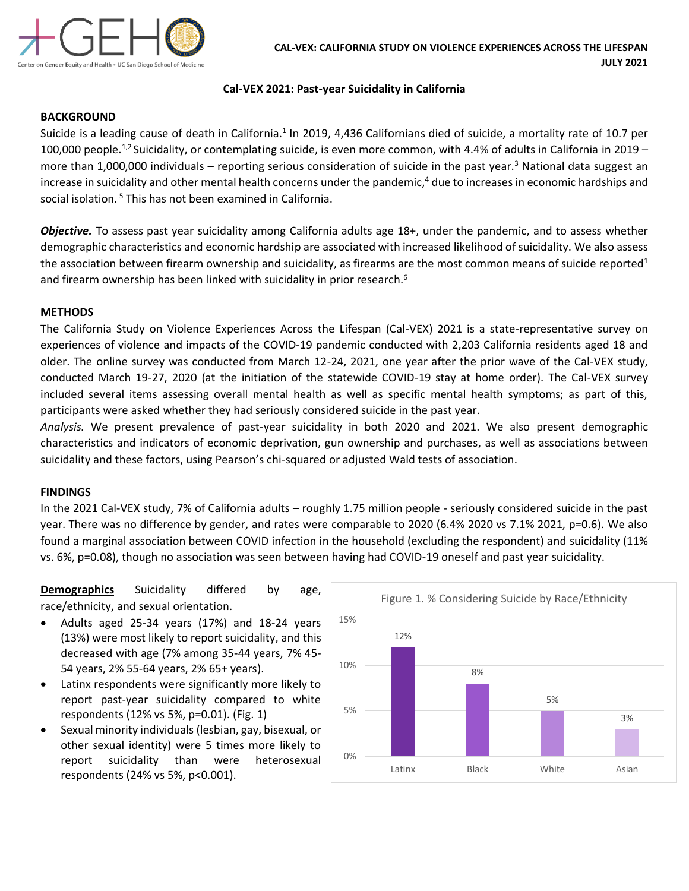

### **Cal-VEX 2021: Past-year Suicidality in California**

# **BACKGROUND**

Suicide is a leading cause of death in California.<sup>1</sup> In 2019, 4,436 Californians died of suicide, a mortality rate of 10.7 per 100,000 people.<sup>1,2</sup> Suicidality, or contemplating suicide, is even more common, with 4.4% of adults in California in 2019 – more than 1,000,000 individuals – reporting serious consideration of suicide in the past year.<sup>3</sup> National data suggest an increase in suicidality and other mental health concerns under the pandemic,<sup>4</sup> due to increases in economic hardships and social isolation. <sup>5</sup> This has not been examined in California.

*Objective.* To assess past year suicidality among California adults age 18+, under the pandemic, and to assess whether demographic characteristics and economic hardship are associated with increased likelihood of suicidality. We also assess the association between firearm ownership and suicidality, as firearms are the most common means of suicide reported<sup>1</sup> and firearm ownership has been linked with suicidality in prior research.<sup>6</sup>

## **METHODS**

The California Study on Violence Experiences Across the Lifespan (Cal-VEX) 2021 is a state-representative survey on experiences of violence and impacts of the COVID-19 pandemic conducted with 2,203 California residents aged 18 and older. The online survey was conducted from March 12-24, 2021, one year after the prior wave of the Cal-VEX study, conducted March 19-27, 2020 (at the initiation of the statewide COVID-19 stay at home order). The Cal-VEX survey included several items assessing overall mental health as well as specific mental health symptoms; as part of this, participants were asked whether they had seriously considered suicide in the past year.

*Analysis.* We present prevalence of past-year suicidality in both 2020 and 2021. We also present demographic characteristics and indicators of economic deprivation, gun ownership and purchases, as well as associations between suicidality and these factors, using Pearson's chi-squared or adjusted Wald tests of association.

#### **FINDINGS**

In the 2021 Cal-VEX study, 7% of California adults – roughly 1.75 million people - seriously considered suicide in the past year. There was no difference by gender, and rates were comparable to 2020 (6.4% 2020 vs 7.1% 2021, p=0.6). We also found a marginal association between COVID infection in the household (excluding the respondent) and suicidality (11% vs. 6%, p=0.08), though no association was seen between having had COVID-19 oneself and past year suicidality.

**Demographics** Suicidality differed by age, race/ethnicity, and sexual orientation.

- Adults aged 25-34 years (17%) and 18-24 years (13%) were most likely to report suicidality, and this decreased with age (7% among 35-44 years, 7% 45- 54 years, 2% 55-64 years, 2% 65+ years).
- Latinx respondents were significantly more likely to report past-year suicidality compared to white respondents (12% vs 5%, p=0.01). (Fig. 1)
- Sexual minority individuals (lesbian, gay, bisexual, or other sexual identity) were 5 times more likely to report suicidality than were heterosexual respondents (24% vs 5%, p<0.001).